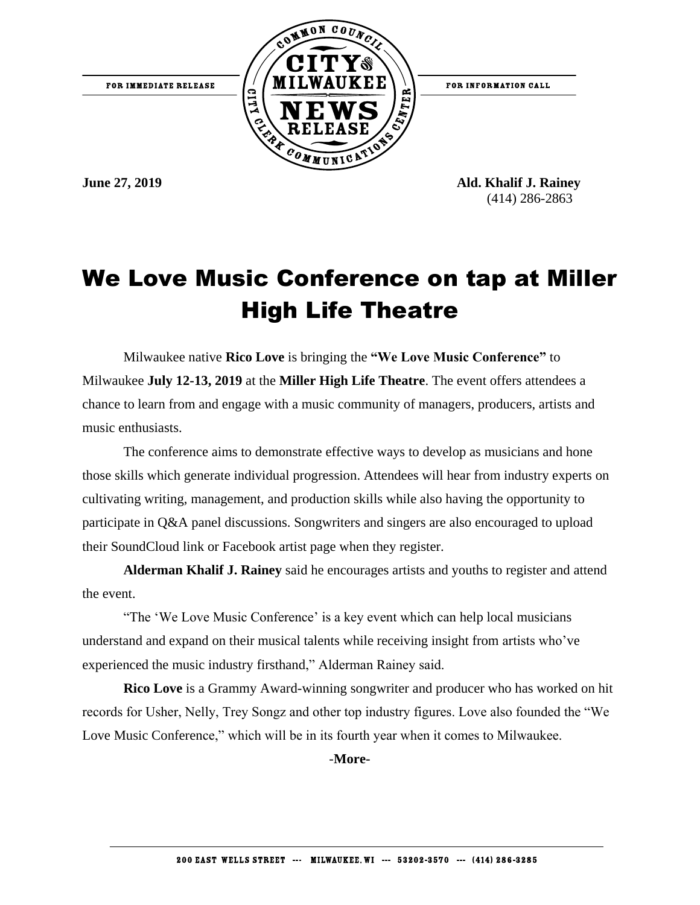

**June 27, 2019 Ald. Khalif J. Rainey** (414) 286-2863

## We Love Music Conference on tap at Miller High Life Theatre

Milwaukee native **Rico Love** is bringing the **"We Love Music Conference"** to Milwaukee **July 12-13, 2019** at the **Miller High Life Theatre**. The event offers attendees a chance to learn from and engage with a music community of managers, producers, artists and music enthusiasts.

The conference aims to demonstrate effective ways to develop as musicians and hone those skills which generate individual progression. Attendees will hear from industry experts on cultivating writing, management, and production skills while also having the opportunity to participate in Q&A panel discussions. Songwriters and singers are also encouraged to upload their SoundCloud link or Facebook artist page when they register.

**Alderman Khalif J. Rainey** said he encourages artists and youths to register and attend the event.

"The 'We Love Music Conference' is a key event which can help local musicians understand and expand on their musical talents while receiving insight from artists who've experienced the music industry firsthand," Alderman Rainey said.

**Rico Love** is a Grammy Award-winning songwriter and producer who has worked on hit records for Usher, Nelly, Trey Songz and other top industry figures. Love also founded the "We Love Music Conference," which will be in its fourth year when it comes to Milwaukee.

-**More-**